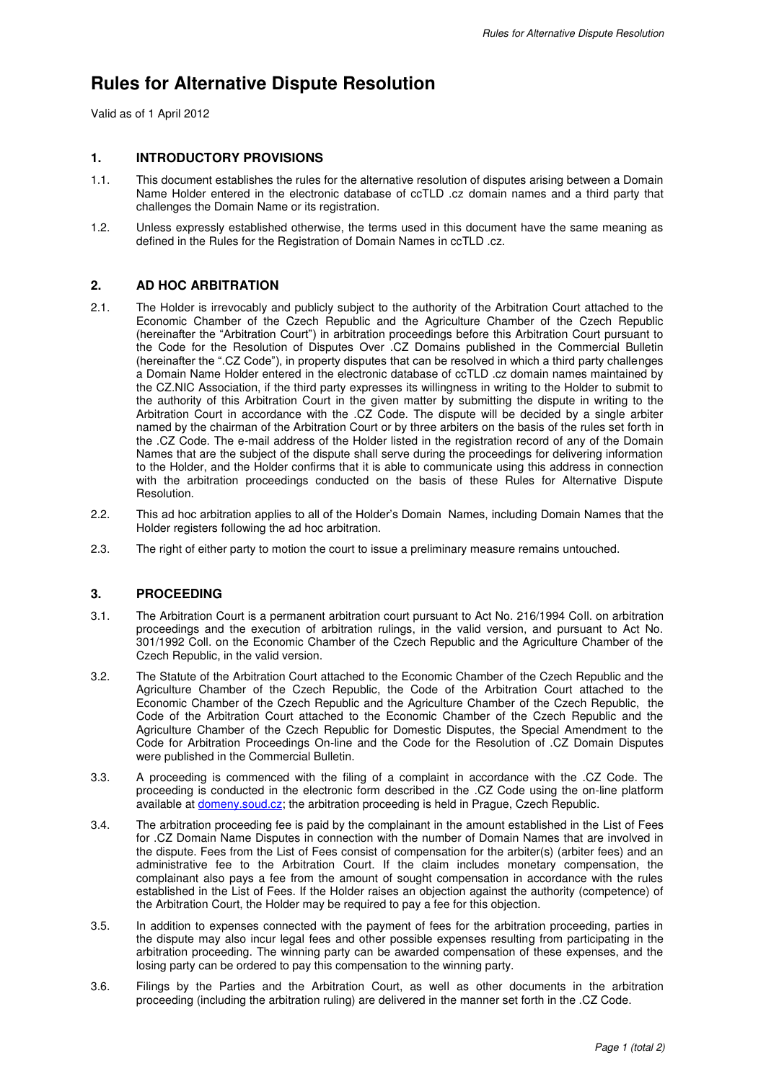# **Rules for Alternative Dispute Resolution**

Valid as of 1 April 2012

# **1. INTRODUCTORY PROVISIONS**

- 1.1. This document establishes the rules for the alternative resolution of disputes arising between a Domain Name Holder entered in the electronic database of ccTLD .cz domain names and a third party that challenges the Domain Name or its registration.
- 1.2. Unless expressly established otherwise, the terms used in this document have the same meaning as defined in the Rules for the Registration of Domain Names in ccTLD .cz.

# **2. AD HOC ARBITRATION**

- 2.1. The Holder is irrevocably and publicly subject to the authority of the Arbitration Court attached to the Economic Chamber of the Czech Republic and the Agriculture Chamber of the Czech Republic (hereinafter the "Arbitration Court") in arbitration proceedings before this Arbitration Court pursuant to the Code for the Resolution of Disputes Over .CZ Domains published in the Commercial Bulletin (hereinafter the ".CZ Code"), in property disputes that can be resolved in which a third party challenges a Domain Name Holder entered in the electronic database of ccTLD .cz domain names maintained by the CZ.NIC Association, if the third party expresses its willingness in writing to the Holder to submit to the authority of this Arbitration Court in the given matter by submitting the dispute in writing to the Arbitration Court in accordance with the .CZ Code. The dispute will be decided by a single arbiter named by the chairman of the Arbitration Court or by three arbiters on the basis of the rules set forth in the .CZ Code. The e-mail address of the Holder listed in the registration record of any of the Domain Names that are the subject of the dispute shall serve during the proceedings for delivering information to the Holder, and the Holder confirms that it is able to communicate using this address in connection with the arbitration proceedings conducted on the basis of these Rules for Alternative Dispute Resolution.
- 2.2. This ad hoc arbitration applies to all of the Holder's Domain Names, including Domain Names that the Holder registers following the ad hoc arbitration.
- 2.3. The right of either party to motion the court to issue a preliminary measure remains untouched.

### **3. PROCEEDING**

- 3.1. The Arbitration Court is a permanent arbitration court pursuant to Act No. 216/1994 Coll. on arbitration proceedings and the execution of arbitration rulings, in the valid version, and pursuant to Act No. 301/1992 Coll. on the Economic Chamber of the Czech Republic and the Agriculture Chamber of the Czech Republic, in the valid version.
- 3.2. The Statute of the Arbitration Court attached to the Economic Chamber of the Czech Republic and the Agriculture Chamber of the Czech Republic, the Code of the Arbitration Court attached to the Economic Chamber of the Czech Republic and the Agriculture Chamber of the Czech Republic, the Code of the Arbitration Court attached to the Economic Chamber of the Czech Republic and the Agriculture Chamber of the Czech Republic for Domestic Disputes, the Special Amendment to the Code for Arbitration Proceedings On-line and the Code for the Resolution of .CZ Domain Disputes were published in the Commercial Bulletin.
- 3.3. A proceeding is commenced with the filing of a complaint in accordance with the .CZ Code. The proceeding is conducted in the electronic form described in the .CZ Code using the on-line platform available at domeny.soud.cz; the arbitration proceeding is held in Prague, Czech Republic.
- 3.4. The arbitration proceeding fee is paid by the complainant in the amount established in the List of Fees for .CZ Domain Name Disputes in connection with the number of Domain Names that are involved in the dispute. Fees from the List of Fees consist of compensation for the arbiter(s) (arbiter fees) and an administrative fee to the Arbitration Court. If the claim includes monetary compensation, the complainant also pays a fee from the amount of sought compensation in accordance with the rules established in the List of Fees. If the Holder raises an objection against the authority (competence) of the Arbitration Court, the Holder may be required to pay a fee for this objection.
- 3.5. In addition to expenses connected with the payment of fees for the arbitration proceeding, parties in the dispute may also incur legal fees and other possible expenses resulting from participating in the arbitration proceeding. The winning party can be awarded compensation of these expenses, and the losing party can be ordered to pay this compensation to the winning party.
- 3.6. Filings by the Parties and the Arbitration Court, as well as other documents in the arbitration proceeding (including the arbitration ruling) are delivered in the manner set forth in the .CZ Code.